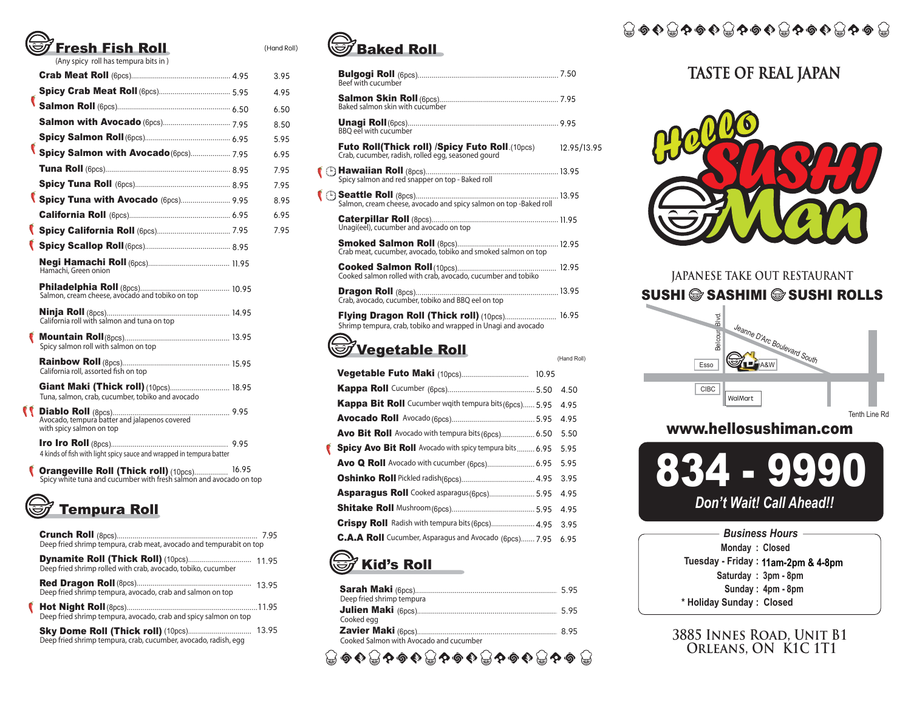# resh Fish Roll

(Any spicy roll has tempura bits in )

|   |                                                                           | 3.95 |
|---|---------------------------------------------------------------------------|------|
|   |                                                                           | 4.95 |
| € |                                                                           | 6.50 |
|   |                                                                           | 8.50 |
|   |                                                                           | 5.95 |
|   | Spicy Salmon with Avocado (6pcs) 7.95                                     | 6.95 |
|   |                                                                           | 7.95 |
|   |                                                                           | 7.95 |
|   | Spicy Tuna with Avocado (6pcs) 9.95                                       | 8.95 |
|   |                                                                           | 6.95 |
|   |                                                                           | 7.95 |
|   |                                                                           |      |
|   | Hamachi, Green onion                                                      |      |
|   | Salmon, cream cheese, avocado and tobiko on top                           |      |
|   |                                                                           |      |
|   | Spicy salmon roll with salmon on top                                      |      |
|   | California roll, assorted fish on top                                     |      |
|   | Tuna, salmon, crab, cucumber, tobiko and avocado                          |      |
|   | Avocado, tempura batter and jalapenos covered<br>with spicy salmon on top |      |
|   | 4 kinds of fish with light spicy sauce and wrapped in tempura batter      |      |
|   |                                                                           |      |

**Orangeville Roll (Thick roll)** (10pcs)................. 16.95<br>Spicy white tuna and cucumber with fresh salmon and avocado on top



| Deep fried shrimp tempura, crab meat, avocado and tempurabit on top |  |
|---------------------------------------------------------------------|--|
| Deep fried shrimp rolled with crab, avocado, tobiko, cucumber       |  |
| Deep fried shrimp tempura, avocado, crab and salmon on top          |  |
| Deep fried shrimp tempura, avocado, crab and spicy salmon on top    |  |
| Deep fried shrimp tempura, crab, cucumber, avocado, radish, egg     |  |



(Hand Roll)

| Beef with cucumber                                                                                                    |         |             |
|-----------------------------------------------------------------------------------------------------------------------|---------|-------------|
| Baked salmon skin with cucumber                                                                                       |         |             |
| <b>BBO</b> eel with cucumber                                                                                          |         |             |
| Crab, cucumber, radish, rolled egg, seasoned gourd                                                                    |         |             |
|                                                                                                                       |         |             |
| Salmon, cream cheese, avocado and spicy salmon on top -Baked roll                                                     |         |             |
| Unagi(eel), cucumber and avocado on top                                                                               |         |             |
|                                                                                                                       |         |             |
| Cooked salmon rolled with crab, avocado, cucumber and tobiko                                                          |         |             |
| Crab, avocado, cucumber, tobiko and BBQ eel on top                                                                    |         |             |
| <b>Flying Dragon Roll (Thick roll)</b> (10pcs) 16.95<br>Shrimp tempura, crab, tobiko and wrapped in Unagi and avocado |         |             |
| <b>Vegetable Roll</b>                                                                                                 |         | (Hand Roll) |
|                                                                                                                       |         |             |
| <b>Kappa Roll</b> Cucumber (6nos)                                                                                     | 550 450 |             |

|                                                                 | 4.50 |
|-----------------------------------------------------------------|------|
| Kappa Bit Roll Cucumber wqith tempura bits (6pcs) 5.95          | 4.95 |
|                                                                 | 4.95 |
| Avo Bit Roll Avocado with tempura bits (6pcs) 6.50              | 5.50 |
| <b>Spicy Avo Bit Roll</b> Avocado with spicy tempura bits  6.95 | 5.95 |
|                                                                 | 5.95 |
|                                                                 | 3.95 |
| Asparagus Roll Cooked asparagus (6pcs) 5.95                     | 4.95 |
|                                                                 | 4.95 |
| Crispy Roll Radish with tempura bits (6pcs) 4.95                | 3.95 |
| C.A.A Roll Cucumber, Asparagus and Avocado (6pcs) 7.95          | 6.95 |
|                                                                 |      |

### **S** Kid's Roll

|                                         | 595 |
|-----------------------------------------|-----|
| Deep fried shrimp tempura               |     |
|                                         |     |
| Cooked egg                              |     |
|                                         |     |
| Cooked Salmon with Avocado and cucumber |     |
| <b>⑤◆ こやの◆ こやの◆ こやの◆ こや</b>             |     |

€

<del>;;</del> ⊙ ↑↑↑↑↑↑ ↑↑↑↑↑↑↑↑ ↑

### **TASTE OF REAL JAPAN**



#### **JAPANESE TAKE OUT RESTAURANT** SUSHI SASHIMI SUSHI ROLLS



#### www.hellosushiman.com



 $\begin{bmatrix} 11.95 \end{bmatrix}$  **Kid's Roll No. 11am-2pm & 4-8pm \* Holiday Sunday : Closed Saturday : 3pm - 8pm Sunday : 4pm - 8pm Monday : Closed**  *Business Hours*

**3885 Innes Road, Unit B1**